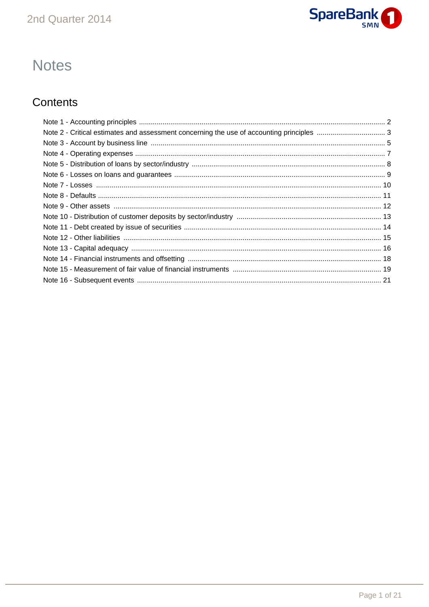

# **Notes**

# Contents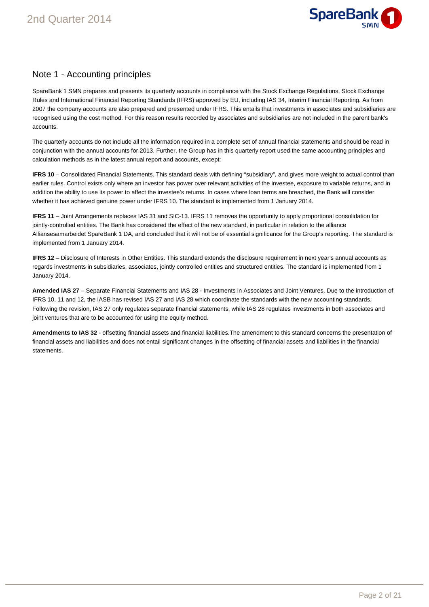

# Note 1 - Accounting principles

SpareBank 1 SMN prepares and presents its quarterly accounts in compliance with the Stock Exchange Regulations, Stock Exchange Rules and International Financial Reporting Standards (IFRS) approved by EU, including IAS 34, Interim Financial Reporting. As from 2007 the company accounts are also prepared and presented under IFRS. This entails that investments in associates and subsidiaries are recognised using the cost method. For this reason results recorded by associates and subsidiaries are not included in the parent bank's accounts.

The quarterly accounts do not include all the information required in a complete set of annual financial statements and should be read in conjunction with the annual accounts for 2013. Further, the Group has in this quarterly report used the same accounting principles and calculation methods as in the latest annual report and accounts, except:

**IFRS 10** – Consolidated Financial Statements. This standard deals with defining "subsidiary", and gives more weight to actual control than earlier rules. Control exists only where an investor has power over relevant activities of the investee, exposure to variable returns, and in addition the ability to use its power to affect the investee's returns. In cases where loan terms are breached, the Bank will consider whether it has achieved genuine power under IFRS 10. The standard is implemented from 1 January 2014.

**IFRS 11** – Joint Arrangements replaces IAS 31 and SIC-13. IFRS 11 removes the opportunity to apply proportional consolidation for jointly-controlled entities. The Bank has considered the effect of the new standard, in particular in relation to the alliance Alliansesamarbeidet SpareBank 1 DA, and concluded that it will not be of essential significance for the Group's reporting. The standard is implemented from 1 January 2014.

**IFRS 12** – Disclosure of Interests in Other Entities. This standard extends the disclosure requirement in next year's annual accounts as regards investments in subsidiaries, associates, jointly controlled entities and structured entities. The standard is implemented from 1 January 2014.

**Amended IAS 27** – Separate Financial Statements and IAS 28 - Investments in Associates and Joint Ventures. Due to the introduction of IFRS 10, 11 and 12, the IASB has revised IAS 27 and IAS 28 which coordinate the standards with the new accounting standards. Following the revision, IAS 27 only regulates separate financial statements, while IAS 28 regulates investments in both associates and joint ventures that are to be accounted for using the equity method.

**Amendments to IAS 32** - offsetting financial assets and financial liabilities.The amendment to this standard concerns the presentation of financial assets and liabilities and does not entail significant changes in the offsetting of financial assets and liabilities in the financial statements.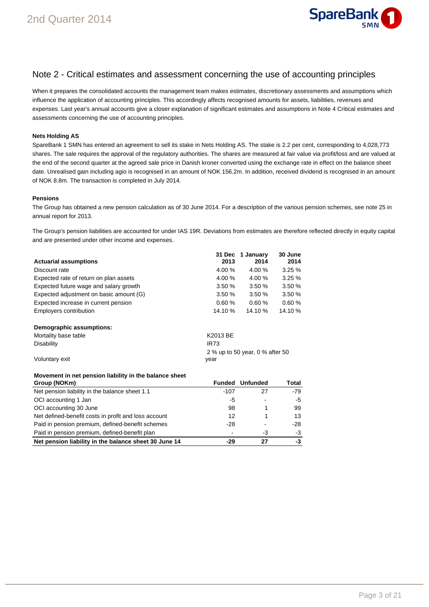

### Note 2 - Critical estimates and assessment concerning the use of accounting principles

When it prepares the consolidated accounts the management team makes estimates, discretionary assessments and assumptions which influence the application of accounting principles. This accordingly affects recognised amounts for assets, liabilities, revenues and expenses. Last year's annual accounts give a closer explanation of significant estimates and assumptions in Note 4 Critical estimates and assessments concerning the use of accounting principles.

#### **Nets Holding AS**

SpareBank 1 SMN has entered an agreement to sell its stake in Nets Holding AS. The stake is 2.2 per cent, corresponding to 4,028,773 shares. The sale requires the approval of the regulatory authorities. The shares are measured at fair value via profit/loss and are valued at the end of the second quarter at the agreed sale price in Danish kroner converted using the exchange rate in effect on the balance sheet date. Unrealised gain including agio is recognised in an amount of NOK 156.2m. In addition, received dividend is recognised in an amount of NOK 8.8m. The transaction is completed in July 2014.

#### **Pensions**

The Group has obtained a new pension calculation as of 30 June 2014. For a description of the various pension schemes, see note 25 in annual report for 2013.

The Group's pension liabilities are accounted for under IAS 19R. Deviations from estimates are therefore reflected directly in equity capital and are presented under other income and expenses.

|                                         |             | 31 Dec 1 January                | 30 June |
|-----------------------------------------|-------------|---------------------------------|---------|
| <b>Actuarial assumptions</b>            | 2013        | 2014                            | 2014    |
| Discount rate                           | 4.00 %      | 4.00 %                          | 3.25%   |
| Expected rate of return on plan assets  | 4.00%       | 4.00%                           | 3.25%   |
| Expected future wage and salary growth  | 3.50%       | 3.50%                           | 3.50%   |
| Expected adjustment on basic amount (G) | 3.50%       | 3.50%                           | 3.50%   |
| Expected increase in current pension    | 0.60%       | 0.60%                           | 0.60%   |
| Employers contribution                  | 14.10 %     | 14.10%                          | 14.10 % |
| Demographic assumptions:                |             |                                 |         |
| Mortality base table                    | K2013 BE    |                                 |         |
| <b>Disability</b>                       | <b>IR73</b> |                                 |         |
|                                         |             | 2 % up to 50 year, 0 % after 50 |         |
| Voluntary exit                          | year        |                                 |         |

#### **Movement in net pension liability in the balance sheet**

| Group (NOKm)                                          | <b>Funded</b> | <b>Unfunded</b> | Total |
|-------------------------------------------------------|---------------|-----------------|-------|
| Net pension liability in the balance sheet 1.1        | -107          | 27              | $-79$ |
| OCI accounting 1 Jan                                  | -5            |                 | -5    |
| OCI accounting 30 June                                | 98            |                 | 99    |
| Net defined-benefit costs in profit and loss account  | 12            |                 | 13    |
| Paid in pension premium, defined-benefit schemes      | -28           | ٠               | -28   |
| Paid in pension premium, defined-benefit plan         |               | -3              | -3    |
| Net pension liability in the balance sheet 30 June 14 | -29           | 27              | -3    |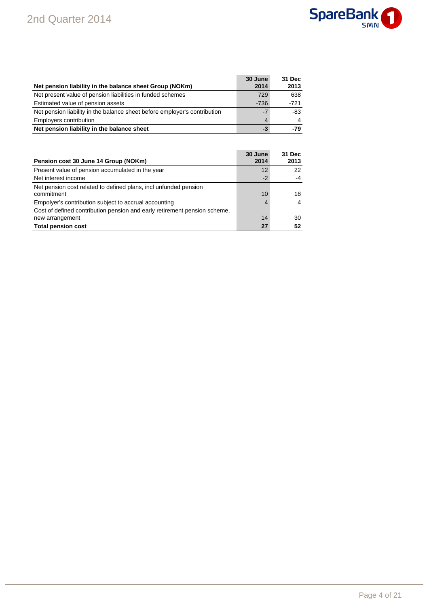

|                                                                           | 30 June | 31 Dec |
|---------------------------------------------------------------------------|---------|--------|
| Net pension liability in the balance sheet Group (NOKm)                   | 2014    | 2013   |
| Net present value of pension liabilities in funded schemes                | 729     | 638    |
| Estimated value of pension assets                                         | $-736$  | $-721$ |
| Net pension liability in the balance sheet before employer's contribution | $-7$    | -83    |
| Employers contribution                                                    | 4       |        |
| Net pension liability in the balance sheet                                | -3      | $-79$  |

| 30 June<br>2014 | 31 Dec<br>2013 |
|-----------------|----------------|
| 12              | 22             |
| $-2$            | $-4$           |
| 10              | 18             |
| 4               | 4              |
|                 | 30<br>52       |
|                 | 14<br>27       |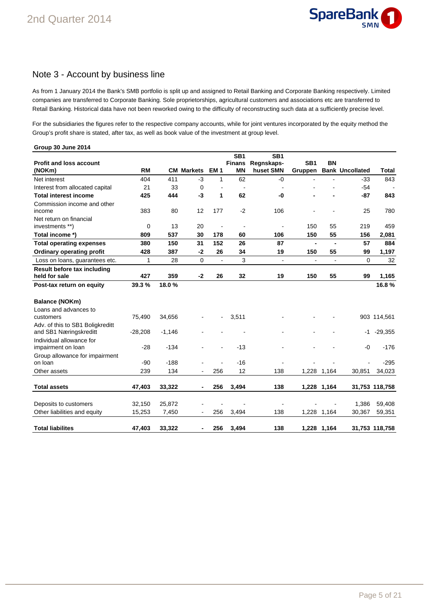

### Note 3 - Account by business line

As from 1 January 2014 the Bank's SMB portfolio is split up and assigned to Retail Banking and Corporate Banking respectively. Limited companies are transferred to Corporate Banking. Sole proprietorships, agricultural customers and associations etc are transferred to Retail Banking. Historical data have not been reworked owing to the difficulty of reconstructing such data at a sufficiently precise level.

For the subsidiaries the figures refer to the respective company accounts, while for joint ventures incorporated by the equity method the Group's profit share is stated, after tax, as well as book value of the investment at group level.

| Group 30 June 2014                                                                     |                  |                 |                          |                |                                               |                                            |                            |                |                        |                  |
|----------------------------------------------------------------------------------------|------------------|-----------------|--------------------------|----------------|-----------------------------------------------|--------------------------------------------|----------------------------|----------------|------------------------|------------------|
| <b>Profit and loss account</b><br>(NOKm)                                               | <b>RM</b>        |                 | <b>CM Markets</b>        | <b>EM1</b>     | SB <sub>1</sub><br><b>Finans</b><br><b>MN</b> | SB <sub>1</sub><br>Regnskaps-<br>huset SMN | SB <sub>1</sub><br>Gruppen | <b>BN</b>      | <b>Bank Uncollated</b> | Total            |
| Net interest                                                                           | 404              | 411             | -3                       | 1              | 62                                            | -0                                         |                            |                | $-33$                  | 843              |
| Interest from allocated capital                                                        | 21               | 33              | 0                        | $\overline{a}$ | $\overline{\phantom{a}}$                      | $\blacksquare$                             |                            |                | $-54$                  |                  |
| <b>Total interest income</b>                                                           | 425              | 444             | -3                       | 1              | 62                                            | -0                                         |                            |                | $-87$                  | 843              |
| Commission income and other<br>income                                                  | 383              | 80              | 12                       | 177            | $-2$                                          | 106                                        |                            |                | 25                     | 780              |
| Net return on financial<br>investments **)                                             | 0                | 13              | 20                       | $\blacksquare$ | $\blacksquare$                                | $\overline{a}$                             | 150                        | 55             | 219                    | 459              |
| Total income *)                                                                        | 809              | 537             | 30                       | 178            | 60                                            | 106                                        | 150                        | 55             | 156                    | 2,081            |
| <b>Total operating expenses</b>                                                        | 380              | 150             | 31                       | 152            | 26                                            | 87                                         | $\blacksquare$             | $\blacksquare$ | 57                     | 884              |
| <b>Ordinary operating profit</b>                                                       | 428              | 387             | $-2$                     | 26             | 34                                            | 19                                         | 150                        | 55             | 99                     | 1,197            |
| Loss on loans, guarantees etc.                                                         | 1                | 28              | $\mathbf 0$              | $\blacksquare$ | 3                                             | $\blacksquare$                             | ÷,                         | $\blacksquare$ | 0                      | 32               |
| Result before tax including<br>held for sale                                           | 427              | 359             | $-2$                     | 26             | 32                                            | 19                                         | 150                        | 55             | 99                     | 1,165            |
| Post-tax return on equity                                                              | 39.3 %           | 18.0%           |                          |                |                                               |                                            |                            |                |                        | 16.8%            |
| Balance (NOKm)<br>Loans and advances to<br>customers                                   | 75,490           | 34,656          |                          |                | 3,511                                         |                                            |                            |                |                        | 903 114,561      |
| Adv. of this to SB1 Boligkreditt<br>and SB1 Næringskreditt<br>Individual allowance for | $-28,208$        | $-1,146$        |                          |                |                                               |                                            |                            |                | -1                     | $-29,355$        |
| impairment on loan<br>Group allowance for impairment                                   | $-28$            | $-134$          |                          |                | $-13$                                         |                                            |                            |                | -0                     | $-176$           |
| on loan                                                                                | $-90$            | $-188$          |                          |                | $-16$                                         |                                            |                            |                |                        | $-295$           |
| Other assets                                                                           | 239              | 134             |                          | 256            | 12                                            | 138                                        |                            | 1,228 1,164    | 30,851                 | 34,023           |
| <b>Total assets</b>                                                                    | 47,403           | 33,322          | -                        | 256            | 3,494                                         | 138                                        |                            | 1,228 1,164    |                        | 31,753 118,758   |
| Deposits to customers<br>Other liabilities and equity                                  | 32,150<br>15,253 | 25,872<br>7,450 | $\overline{\phantom{a}}$ | 256            | 3,494                                         | $\blacksquare$<br>138                      |                            | 1,228 1,164    | 1,386<br>30,367        | 59,408<br>59,351 |
| <b>Total liabilites</b>                                                                | 47,403           | 33,322          | -                        | 256            | 3,494                                         | 138                                        |                            | 1,228 1,164    |                        | 31,753 118,758   |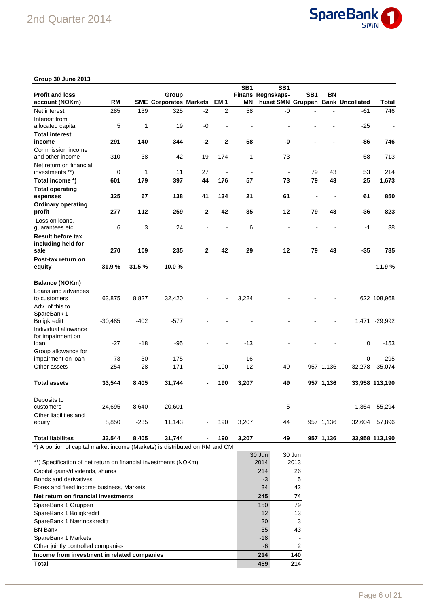

### **Group 30 June 2013**

| <b>Profit and loss</b><br>account (NOKm)                                    | <b>RM</b> |        | Group<br><b>SME Corporates Markets</b> |              | EM 1         | SB <sub>1</sub><br>ΜN | SB <sub>1</sub><br>Finans Regnskaps-<br>huset SMN Gruppen Bank Uncollated | SB <sub>1</sub> | ΒN        |        | <b>Total</b>   |
|-----------------------------------------------------------------------------|-----------|--------|----------------------------------------|--------------|--------------|-----------------------|---------------------------------------------------------------------------|-----------------|-----------|--------|----------------|
| Net interest                                                                | 285       | 139    | 325                                    | $-2$         | 2            | 58                    | -0                                                                        |                 |           | -61    | 746            |
| Interest from                                                               |           |        |                                        |              |              |                       |                                                                           |                 |           |        |                |
| allocated capital                                                           | 5         | 1      | 19                                     | -0           |              |                       |                                                                           |                 |           | $-25$  | $\blacksquare$ |
| <b>Total interest</b>                                                       |           |        |                                        |              |              |                       |                                                                           |                 |           |        |                |
| income                                                                      | 291       | 140    | 344                                    | $-2$         | $\mathbf{2}$ | 58                    | -0                                                                        |                 |           | -86    | 746            |
| Commission income                                                           |           |        |                                        |              |              |                       |                                                                           |                 |           |        |                |
| and other income                                                            | 310       | 38     | 42                                     | 19           | 174          | $-1$                  | 73                                                                        |                 |           | 58     | 713            |
|                                                                             |           |        |                                        |              |              |                       |                                                                           |                 |           |        |                |
| Net return on financial                                                     | 0         | 1      | 11                                     | 27           |              | $\blacksquare$        |                                                                           | 79              | 43        | 53     | 214            |
| investments **)                                                             |           |        |                                        |              |              |                       |                                                                           |                 |           |        |                |
| Total income *)                                                             | 601       | 179    | 397                                    | 44           | 176          | 57                    | 73                                                                        | 79              | 43        | 25     | 1,673          |
| <b>Total operating</b>                                                      |           |        |                                        |              |              |                       |                                                                           |                 |           |        |                |
| expenses                                                                    | 325       | 67     | 138                                    | 41           | 134          | 21                    | 61                                                                        |                 |           | 61     | 850            |
| <b>Ordinary operating</b>                                                   |           |        |                                        |              |              |                       |                                                                           |                 |           |        |                |
| profit                                                                      | 277       | 112    | 259                                    | $\mathbf{2}$ | 42           | 35                    | 12                                                                        | 79              | 43        | -36    | 823            |
| Loss on loans,                                                              |           |        |                                        |              |              |                       |                                                                           |                 |           |        |                |
| guarantees etc.                                                             | 6         | 3      | 24                                     |              |              | 6                     |                                                                           |                 |           | -1     | 38             |
| <b>Result before tax</b><br>including held for                              |           |        |                                        |              |              |                       |                                                                           |                 |           |        |                |
| sale                                                                        | 270       | 109    | 235                                    | $\mathbf{2}$ | 42           | 29                    | 12                                                                        | 79              | 43        | $-35$  | 785            |
| Post-tax return on                                                          |           |        |                                        |              |              |                       |                                                                           |                 |           |        |                |
| equity                                                                      | 31.9%     | 31.5%  | 10.0%                                  |              |              |                       |                                                                           |                 |           |        | 11.9%          |
| <b>Balance (NOKm)</b>                                                       |           |        |                                        |              |              |                       |                                                                           |                 |           |        |                |
| Loans and advances                                                          |           |        |                                        |              |              |                       |                                                                           |                 |           |        |                |
| to customers                                                                | 63,875    | 8,827  | 32,420                                 |              |              | 3,224                 |                                                                           |                 |           |        | 622 108,968    |
| Adv. of this to                                                             |           |        |                                        |              |              |                       |                                                                           |                 |           |        |                |
| SpareBank 1                                                                 |           |        |                                        |              |              |                       |                                                                           |                 |           |        |                |
| <b>Boligkreditt</b>                                                         | $-30,485$ | $-402$ | $-577$                                 |              |              |                       |                                                                           |                 |           | 1,471  | $-29,992$      |
| Individual allowance                                                        |           |        |                                        |              |              |                       |                                                                           |                 |           |        |                |
| for impairment on                                                           |           |        |                                        |              |              |                       |                                                                           |                 |           |        |                |
| loan                                                                        | $-27$     | $-18$  | -95                                    |              |              | $-13$                 |                                                                           |                 |           | 0      | $-153$         |
| Group allowance for                                                         |           |        |                                        |              |              |                       |                                                                           |                 |           |        |                |
| impairment on loan                                                          | $-73$     | $-30$  | $-175$                                 |              |              | -16                   |                                                                           |                 |           | -0     | $-295$         |
| Other assets                                                                | 254       | 28     | 171                                    |              | 190          | 12                    | 49                                                                        |                 | 957 1,136 | 32,278 | 35,074         |
|                                                                             |           |        |                                        |              |              |                       |                                                                           |                 |           |        |                |
| <b>Total assets</b>                                                         | 33,544    | 8,405  | 31,744                                 |              | 190          | 3,207                 | 49                                                                        |                 | 957 1,136 |        | 33,958 113,190 |
|                                                                             |           |        |                                        |              |              |                       |                                                                           |                 |           |        |                |
| Deposits to                                                                 |           |        |                                        |              |              |                       |                                                                           |                 |           |        |                |
| customers                                                                   | 24,695    | 8,640  | 20,601                                 |              |              |                       | 5                                                                         |                 |           | 1,354  | 55,294         |
| Other liabilities and                                                       |           |        |                                        |              |              |                       |                                                                           |                 |           |        |                |
| equity                                                                      | 8,850     | $-235$ | 11,143                                 |              | 190          | 3,207                 | 44                                                                        |                 | 957 1,136 | 32,604 | 57,896         |
| <b>Total liabilites</b>                                                     | 33,544    | 8,405  | 31,744                                 |              | 190          | 3,207                 | 49                                                                        |                 | 957 1,136 |        | 33,958 113,190 |
| *) A portion of capital market income (Markets) is distributed on RM and CM |           |        |                                        |              |              |                       |                                                                           |                 |           |        |                |
| **) Specification of net return on financial investments (NOKm)             |           |        |                                        |              |              |                       | 30 Jun<br>2014                                                            | 30 Jun<br>2013  |           |        |                |
| Capital gains/dividends, shares                                             |           |        |                                        |              |              |                       | 214                                                                       | 26              |           |        |                |
| Bonde and derivatives                                                       |           |        |                                        |              |              |                       | $\overline{a}$                                                            | 片               |           |        |                |

| Gapildi yallıs/ulviucilus, sildics          | 21    | 20  |
|---------------------------------------------|-------|-----|
| <b>Bonds and derivatives</b>                | -3    | 5   |
| Forex and fixed income business, Markets    | 34    | 42  |
| Net return on financial investments         | 245   | 74  |
| SpareBank 1 Gruppen                         | 150   | 79  |
| SpareBank 1 Boligkreditt                    | 12    | 13  |
| SpareBank 1 Næringskreditt                  | 20    |     |
| BN Bank                                     | 55    | 43  |
| SpareBank 1 Markets                         | $-18$ |     |
| Other jointly controlled companies          | -6    | 2   |
| Income from investment in related companies | 214   | 140 |
| Total                                       | 459   | 214 |
|                                             |       |     |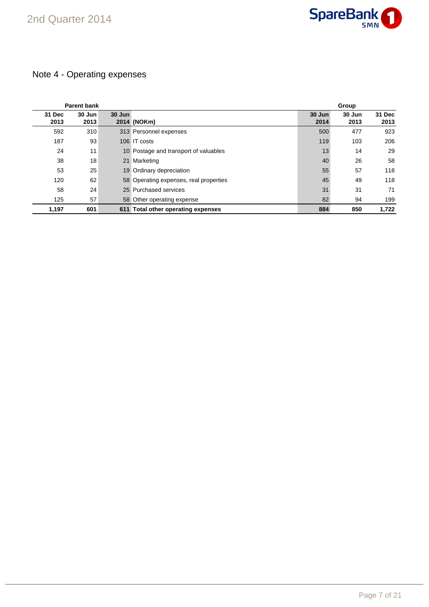

# Note 4 - Operating expenses

|                | <b>Parent bank</b> |        |                                        |                | Group          |                |
|----------------|--------------------|--------|----------------------------------------|----------------|----------------|----------------|
| 31 Dec<br>2013 | 30 Jun<br>2013     | 30 Jun | 2014 (NOKm)                            | 30 Jun<br>2014 | 30 Jun<br>2013 | 31 Dec<br>2013 |
| 592            | 310                |        | 313 Personnel expenses                 | 500            | 477            | 923            |
| 187            | 93                 |        | 106 IT costs                           | 119            | 103            | 206            |
| 24             | 11                 |        | 10 Postage and transport of valuables  | 13             | 14             | 29             |
| 38             | 18                 |        | 21 Marketing                           | 40             | 26             | 58             |
| 53             | 25                 |        | 19 Ordinary depreciation               | 55             | 57             | 118            |
| 120            | 62                 |        | 58 Operating expenses, real properties | 45             | 49             | 118            |
| 58             | 24                 |        | 25 Purchased services                  | 31             | 31             | 71             |
| 125            | 57                 |        | 58 Other operating expense             | 82             | 94             | 199            |
| 1,197          | 601                |        | 611 Total other operating expenses     | 884            | 850            | 1.722          |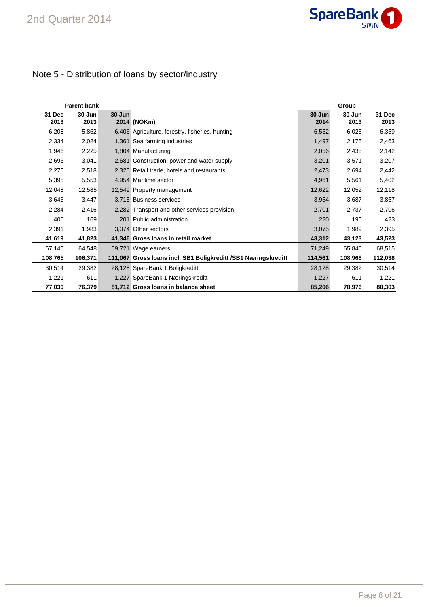

# Note 5 - Distribution of loans by sector/industry

|                | <b>Parent bank</b> |        |                                                                |                | Group          |                |
|----------------|--------------------|--------|----------------------------------------------------------------|----------------|----------------|----------------|
| 31 Dec<br>2013 | 30 Jun<br>2013     | 30 Jun | 2014 (NOKm)                                                    | 30 Jun<br>2014 | 30 Jun<br>2013 | 31 Dec<br>2013 |
| 6,208          | 5,862              |        | 6,406 Agriculture, forestry, fisheries, hunting                | 6,552          | 6,025          | 6,359          |
| 2,334          | 2,024              |        | 1,361 Sea farming industries                                   | 1,497          | 2,175          | 2,463          |
| 1,946          | 2,225              |        | 1,804 Manufacturing                                            | 2,056          | 2,435          | 2,142          |
| 2,693          | 3,041              |        | 2,681 Construction, power and water supply                     | 3,201          | 3,571          | 3,207          |
| 2,275          | 2,518              |        | 2,320 Retail trade, hotels and restaurants                     | 2,473          | 2,694          | 2,442          |
| 5,395          | 5,553              |        | 4,954 Maritime sector                                          | 4,961          | 5,561          | 5,402          |
| 12,048         | 12,585             |        | 12,549 Property management                                     | 12,622         | 12,052         | 12,118         |
| 3,646          | 3,447              |        | 3,715 Business services                                        | 3,954          | 3,687          | 3,867          |
| 2,284          | 2,416              |        | 2,282 Transport and other services provision                   | 2,701          | 2,737          | 2,706          |
| 400            | 169                |        | 201 Public administration                                      | 220            | 195            | 423            |
| 2,391          | 1,983              |        | 3,074 Other sectors                                            | 3,075          | 1,989          | 2,395          |
| 41,619         | 41,823             |        | 41,346 Gross Ioans in retail market                            | 43,312         | 43,123         | 43,523         |
| 67,146         | 64,548             |        | 69,721 Wage earners                                            | 71,249         | 65,846         | 68,515         |
| 108,765        | 106,371            |        | 111,067 Gross Ioans incl. SB1 Boligkreditt /SB1 Næringskreditt | 114,561        | 108,968        | 112,038        |
| 30,514         | 29,382             |        | 28,128 SpareBank 1 Boligkreditt                                | 28,128         | 29,382         | 30,514         |
| 1,221          | 611                |        | 1,227 SpareBank 1 Næringskreditt                               | 1,227          | 611            | 1,221          |
| 77,030         | 76,379             |        | 81,712 Gross Ioans in balance sheet                            | 85,206         | 78,976         | 80,303         |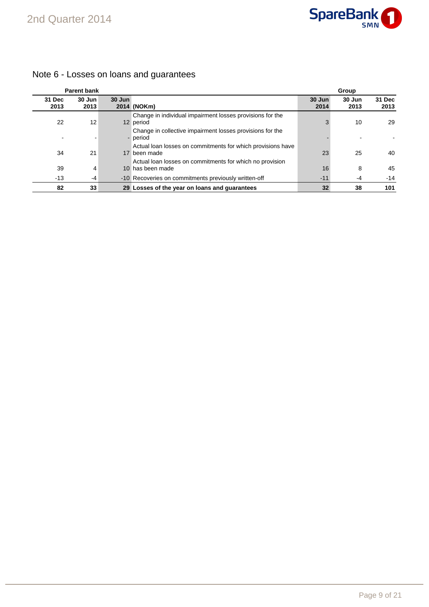

|                | <b>Parent bank</b> |        |                                                                              |                | Group          |                |
|----------------|--------------------|--------|------------------------------------------------------------------------------|----------------|----------------|----------------|
| 31 Dec<br>2013 | 30 Jun<br>2013     | 30 Jun | 2014 (NOKm)                                                                  | 30 Jun<br>2014 | 30 Jun<br>2013 | 31 Dec<br>2013 |
| 22             | 12                 |        | Change in individual impairment losses provisions for the<br>12 period       | 3              | 10             | 29             |
|                |                    |        | Change in collective impairment losses provisions for the<br>- period        |                |                |                |
| 34             | 21                 |        | Actual loan losses on commitments for which provisions have<br>17 been made  | 23             | 25             | 40             |
| 39             | 4                  |        | Actual loan losses on commitments for which no provision<br>10 has been made | 16             | 8              | 45             |
| $-13$          | -4                 |        | -10 Recoveries on commitments previously written-off                         | $-11$          | -4             | $-14$          |
| 82             | 33                 |        | 29 Losses of the year on loans and quarantees                                | 32             | 38             | 101            |

# Note 6 - Losses on loans and guarantees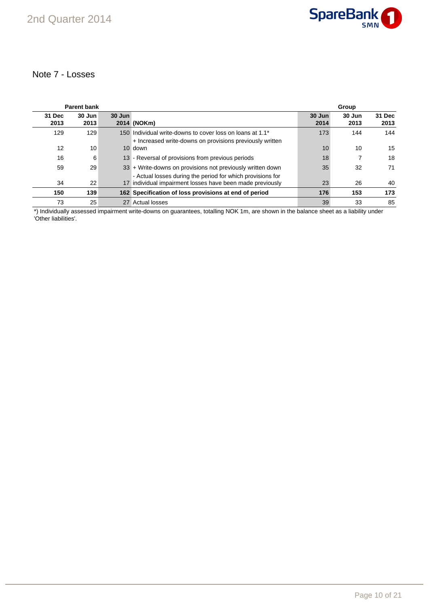

### Note 7 - Losses

|                | <b>Parent bank</b> |        |                                                                                                                         |                | Group          |                |
|----------------|--------------------|--------|-------------------------------------------------------------------------------------------------------------------------|----------------|----------------|----------------|
| 31 Dec<br>2013 | 30 Jun<br>2013     | 30 Jun | 2014 (NOKm)                                                                                                             | 30 Jun<br>2014 | 30 Jun<br>2013 | 31 Dec<br>2013 |
| 129            | 129                |        | 150 Individual write-downs to cover loss on loans at 1.1*<br>+ Increased write-downs on provisions previously written   | 173            | 144            | 144            |
| 12             | 10                 |        | 10 down                                                                                                                 | 10             | 10             | 15             |
| 16             | 6                  |        | 13 - Reversal of provisions from previous periods                                                                       | 18             |                | 18             |
| 59             | 29                 |        | 33 + Write-downs on provisions not previously written down                                                              | 35             | 32             | 71             |
| 34             | 22                 |        | - Actual losses during the period for which provisions for<br>17 individual impairment losses have been made previously | 23             | 26             | 40             |
| 150            | 139                |        | 162 Specification of loss provisions at end of period                                                                   | 176            | 153            | 173            |
| 73             | 25                 |        | 27 Actual losses                                                                                                        | 39             | 33             | 85             |

\*) Individually assessed impairment write-downs on guarantees, totalling NOK 1m, are shown in the balance sheet as a liability under 'Other liabilities'.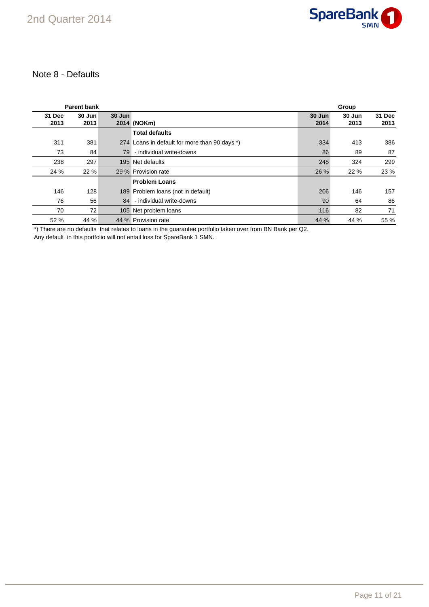

### Note 8 - Defaults

|                | <b>Parent bank</b> |        |                                               |                | Group          |                |
|----------------|--------------------|--------|-----------------------------------------------|----------------|----------------|----------------|
| 31 Dec<br>2013 | 30 Jun<br>2013     | 30 Jun | 2014 (NOKm)                                   | 30 Jun<br>2014 | 30 Jun<br>2013 | 31 Dec<br>2013 |
|                |                    |        | <b>Total defaults</b>                         |                |                |                |
| 311            | 381                |        | 274 Loans in default for more than 90 days *) | 334            | 413            | 386            |
| 73             | 84                 | 79     | - individual write-downs                      | 86             | 89             | 87             |
| 238            | 297                |        | 195 Net defaults                              | 248            | 324            | 299            |
| 24 %           | 22 %               |        | 29 % Provision rate                           | 26 %           | 22 %           | 23 %           |
|                |                    |        | <b>Problem Loans</b>                          |                |                |                |
| 146            | 128                |        | 189 Problem Ioans (not in default)            | 206            | 146            | 157            |
| 76             | 56                 | 84     | - individual write-downs                      | 90             | 64             | 86             |
| 70             | 72                 |        | 105 Net problem loans                         | 116            | 82             | 71             |
| 52 %           | 44 %               |        | 44 % Provision rate                           | 44 %           | 44 %           | 55 %           |

\*) There are no defaults that relates to loans in the guarantee portfolio taken over from BN Bank per Q2.

Any default in this portfolio will not entail loss for SpareBank 1 SMN.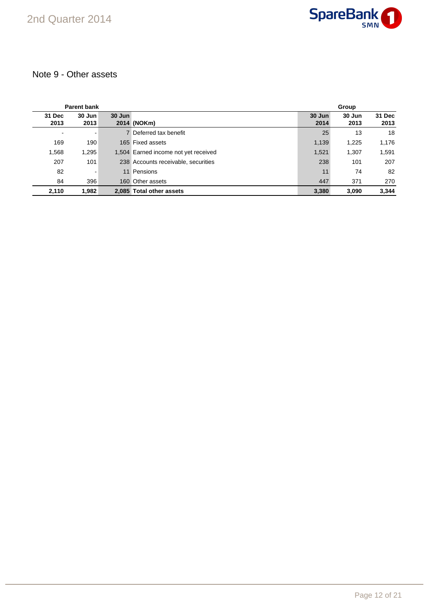

# Note 9 - Other assets

|                | <b>Parent bank</b> |        |                                      |                | Group          |                |
|----------------|--------------------|--------|--------------------------------------|----------------|----------------|----------------|
| 31 Dec<br>2013 | $30$ Jun<br>2013   | 30 Jun | 2014 (NOKm)                          | 30 Jun<br>2014 | 30 Jun<br>2013 | 31 Dec<br>2013 |
| $\blacksquare$ | -                  |        | 7 Deferred tax benefit               | 25             | 13             | 18             |
| 169            | 190                |        | 165 Fixed assets                     | 1,139          | 1,225          | 1,176          |
| 1,568          | 1,295              |        | 1,504 Earned income not yet received | 1,521          | 1,307          | 1,591          |
| 207            | 101                |        | 238 Accounts receivable, securities  | 238            | 101            | 207            |
| 82             | $\blacksquare$     |        | 11 Pensions                          | 11             | 74             | 82             |
| 84             | 396                |        | 160 Other assets                     | 447            | 371            | 270            |
| 2,110          | 1.982              |        | 2.085 Total other assets             | 3,380          | 3.090          | 3.344          |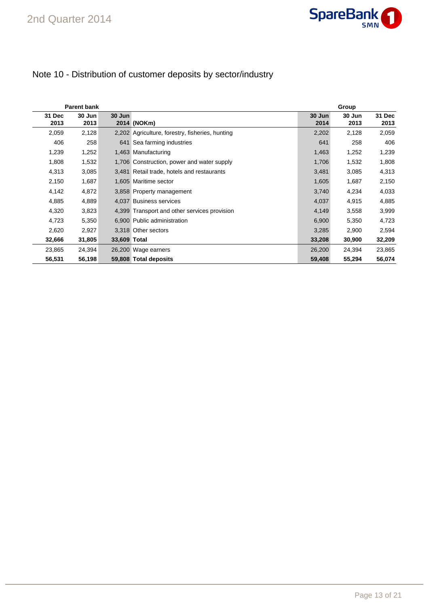

# Note 10 - Distribution of customer deposits by sector/industry

|                | <b>Parent bank</b> |              |                                                 |                | Group          |                |
|----------------|--------------------|--------------|-------------------------------------------------|----------------|----------------|----------------|
| 31 Dec<br>2013 | 30 Jun<br>2013     | 30 Jun       | 2014 (NOKm)                                     | 30 Jun<br>2014 | 30 Jun<br>2013 | 31 Dec<br>2013 |
| 2,059          | 2,128              |              | 2,202 Agriculture, forestry, fisheries, hunting | 2,202          | 2,128          | 2,059          |
| 406            | 258                |              | 641 Sea farming industries                      | 641            | 258            | 406            |
| 1,239          | 1,252              |              | 1,463 Manufacturing                             | 1,463          | 1,252          | 1,239          |
| 1,808          | 1,532              |              | 1,706 Construction, power and water supply      | 1,706          | 1,532          | 1,808          |
| 4,313          | 3,085              |              | 3,481 Retail trade, hotels and restaurants      | 3,481          | 3,085          | 4,313          |
| 2,150          | 1,687              |              | 1,605 Maritime sector                           | 1,605          | 1,687          | 2,150          |
| 4,142          | 4,872              |              | 3,858 Property management                       | 3,740          | 4,234          | 4,033          |
| 4,885          | 4,889              |              | 4,037 Business services                         | 4,037          | 4,915          | 4,885          |
| 4,320          | 3,823              |              | 4,399 Transport and other services provision    | 4,149          | 3,558          | 3,999          |
| 4,723          | 5,350              |              | 6,900 Public administration                     | 6,900          | 5,350          | 4,723          |
| 2,620          | 2,927              |              | 3.318 Other sectors                             | 3,285          | 2,900          | 2,594          |
| 32,666         | 31,805             | 33,609 Total |                                                 | 33,208         | 30,900         | 32,209         |
| 23,865         | 24,394             |              | 26,200 Wage earners                             | 26,200         | 24,394         | 23,865         |
| 56,531         | 56,198             |              | 59,808 Total deposits                           | 59,408         | 55,294         | 56,074         |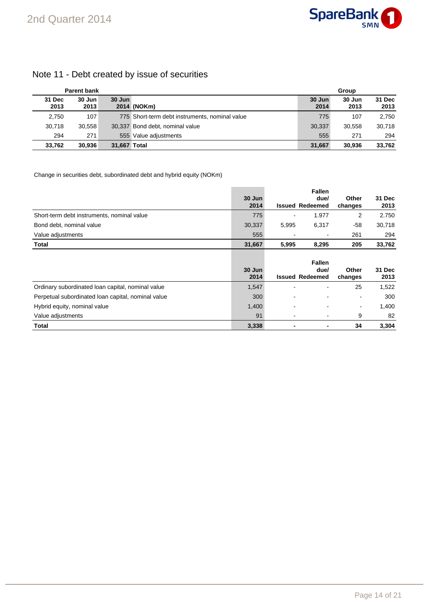# Note 11 - Debt created by issue of securities

|                | <b>Parent bank</b> |              |                                                | Group          |                |                |
|----------------|--------------------|--------------|------------------------------------------------|----------------|----------------|----------------|
| 31 Dec<br>2013 | 30 Jun<br>2013     | $30$ Jun     | 2014 (NOKm)                                    | 30 Jun<br>2014 | 30 Jun<br>2013 | 31 Dec<br>2013 |
| 2,750          | 107                |              | 775 Short-term debt instruments, nominal value | 775            | 107            | 2,750          |
| 30.718         | 30.558             |              | 30,337 Bond debt, nominal value                | 30.337         | 30.558         | 30.718         |
| 294            | 271                |              | 555 Value adjustments                          | 555            | 271            | 294            |
| 33.762         | 30.936             | 31.667 Total |                                                | 31.667         | 30.936         | 33.762         |

Change in securities debt, subordinated debt and hybrid equity (NOKm)

|                                                    |                |       | <b>Fallen</b>                  |                  |                |
|----------------------------------------------------|----------------|-------|--------------------------------|------------------|----------------|
|                                                    | 30 Jun<br>2014 |       | due/<br><b>Issued Redeemed</b> | Other            | 31 Dec<br>2013 |
|                                                    |                |       |                                | changes          |                |
| Short-term debt instruments, nominal value         | 775            |       | 1.977                          | 2                | 2.750          |
| Bond debt, nominal value                           | 30,337         | 5,995 | 6,317                          | -58              | 30,718         |
| Value adjustments                                  | 555            |       | $\overline{\phantom{0}}$       | 261              | 294            |
| <b>Total</b>                                       | 31,667         | 5,995 | 8,295                          | 205              | 33,762         |
|                                                    |                |       | <b>Fallen</b>                  |                  |                |
|                                                    | 30 Jun<br>2014 |       | due/<br><b>Issued Redeemed</b> | Other<br>changes | 31 Dec<br>2013 |
| Ordinary subordinated loan capital, nominal value  | 1,547          |       |                                | 25               | 1,522          |
| Perpetual subordinated loan capital, nominal value | 300            |       |                                | $\blacksquare$   | 300            |
|                                                    |                |       |                                |                  |                |
| Hybrid equity, nominal value                       | 1,400          |       |                                | $\blacksquare$   | 1,400          |
| Value adjustments                                  | 91             |       | $\overline{\phantom{0}}$       | 9                | 82             |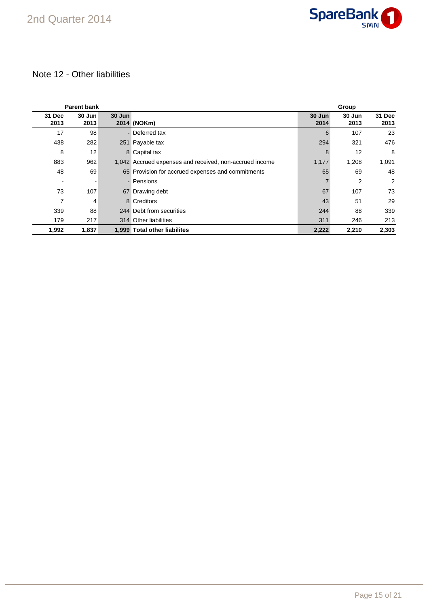

# Note 12 - Other liabilities

|                          | <b>Parent bank</b> |        |                                                         |                | Group          |                |
|--------------------------|--------------------|--------|---------------------------------------------------------|----------------|----------------|----------------|
| 31 Dec<br>2013           | 30 Jun<br>2013     | 30 Jun | 2014 (NOKm)                                             | 30 Jun<br>2014 | 30 Jun<br>2013 | 31 Dec<br>2013 |
| 17                       | 98                 |        | - Deferred tax                                          | 6              | 107            | 23             |
| 438                      | 282                |        | 251 Payable tax                                         | 294            | 321            | 476            |
| 8                        | 12                 |        | 8 Capital tax                                           | 8              | 12             | 8              |
| 883                      | 962                |        | 1,042 Accrued expenses and received, non-accrued income | 1,177          | 1,208          | 1,091          |
| 48                       | 69                 |        | 65 Provision for accrued expenses and commitments       | 65             | 69             | 48             |
| $\overline{\phantom{a}}$ |                    |        | - Pensions                                              |                | 2              | 2              |
| 73                       | 107                |        | 67 Drawing debt                                         | 67             | 107            | 73             |
| 7                        | 4                  |        | 8 Creditors                                             | 43             | 51             | 29             |
| 339                      | 88                 |        | 244 Debt from securities                                | 244            | 88             | 339            |
| 179                      | 217                |        | 314 Other liabilities                                   | 311            | 246            | 213            |
| 1,992                    | 1,837              |        | 1,999 Total other liabilites                            | 2,222          | 2,210          | 2,303          |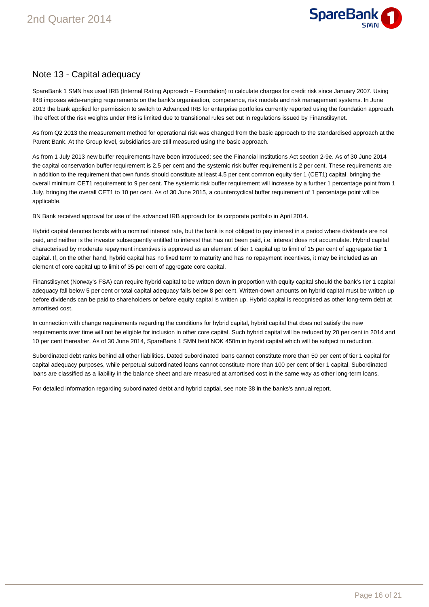

### Note 13 - Capital adequacy

SpareBank 1 SMN has used IRB (Internal Rating Approach – Foundation) to calculate charges for credit risk since January 2007. Using IRB imposes wide-ranging requirements on the bank's organisation, competence, risk models and risk management systems. In June 2013 the bank applied for permission to switch to Advanced IRB for enterprise portfolios currently reported using the foundation approach. The effect of the risk weights under IRB is limited due to transitional rules set out in regulations issued by Finanstilsynet.

As from Q2 2013 the measurement method for operational risk was changed from the basic approach to the standardised approach at the Parent Bank. At the Group level, subsidiaries are still measured using the basic approach.

As from 1 July 2013 new buffer requirements have been introduced; see the Financial Institutions Act section 2-9e. As of 30 June 2014 the capital conservation buffer requirement is 2.5 per cent and the systemic risk buffer requirement is 2 per cent. These requirements are in addition to the requirement that own funds should constitute at least 4.5 per cent common equity tier 1 (CET1) capital, bringing the overall minimum CET1 requirement to 9 per cent. The systemic risk buffer requirement will increase by a further 1 percentage point from 1 July, bringing the overall CET1 to 10 per cent. As of 30 June 2015, a countercyclical buffer requirement of 1 percentage point will be applicable.

BN Bank received approval for use of the advanced IRB approach for its corporate portfolio in April 2014.

Hybrid capital denotes bonds with a nominal interest rate, but the bank is not obliged to pay interest in a period where dividends are not paid, and neither is the investor subsequently entitled to interest that has not been paid, i.e. interest does not accumulate. Hybrid capital characterised by moderate repayment incentives is approved as an element of tier 1 capital up to limit of 15 per cent of aggregate tier 1 capital. If, on the other hand, hybrid capital has no fixed term to maturity and has no repayment incentives, it may be included as an element of core capital up to limit of 35 per cent of aggregate core capital.

Finanstilsynet (Norway's FSA) can require hybrid capital to be written down in proportion with equity capital should the bank's tier 1 capital adequacy fall below 5 per cent or total capital adequacy falls below 8 per cent. Written-down amounts on hybrid capital must be written up before dividends can be paid to shareholders or before equity capital is written up. Hybrid capital is recognised as other long-term debt at amortised cost.

In connection with change requirements regarding the conditions for hybrid capital, hybrid capital that does not satisfy the new requirements over time will not be eligible for inclusion in other core capital. Such hybrid capital will be reduced by 20 per cent in 2014 and 10 per cent thereafter. As of 30 June 2014, SpareBank 1 SMN held NOK 450m in hybrid capital which will be subject to reduction.

Subordinated debt ranks behind all other liabilities. Dated subordinated loans cannot constitute more than 50 per cent of tier 1 capital for capital adequacy purposes, while perpetual subordinated loans cannot constitute more than 100 per cent of tier 1 capital. Subordinated loans are classified as a liability in the balance sheet and are measured at amortised cost in the same way as other long-term loans.

For detailed information regarding subordinated detbt and hybrid captial, see note 38 in the banks's annual report.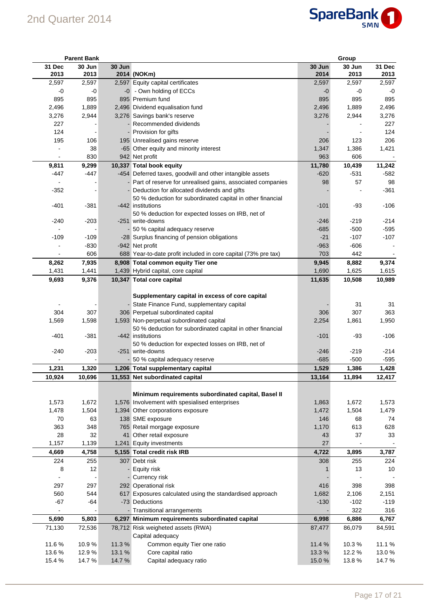

|                | <b>Parent Bank</b> |        |                                                                                 |                | Group          |                |
|----------------|--------------------|--------|---------------------------------------------------------------------------------|----------------|----------------|----------------|
| 31 Dec<br>2013 | 30 Jun<br>2013     | 30 Jun | 2014 (NOKm)                                                                     | 30 Jun<br>2014 | 30 Jun<br>2013 | 31 Dec<br>2013 |
| 2,597          | 2,597              |        | 2,597 Equity capital certificates                                               | 2,597          | 2,597          | 2,597          |
| $-0$           | -0                 |        | -0 - Own holding of ECCs                                                        | $-0$           | -0             | -0             |
| 895            | 895                |        | 895 Premium fund                                                                | 895            | 895            | 895            |
| 2,496          | 1,889              |        | 2,496 Dividend equalisation fund                                                | 2,496          | 1,889          | 2,496          |
| 3,276          | 2,944              |        | 3,276 Savings bank's reserve                                                    | 3,276          | 2,944          | 3,276          |
| 227            |                    |        | - Recommended dividends                                                         |                |                | 227            |
| 124            |                    |        | - Provision for gifts                                                           |                |                | 124            |
| 195            | 106                |        | 195 Unrealised gains reserve                                                    | 206            | 123            | 206            |
|                | 38                 |        | -65 Other equity and minority interest                                          | 1,347          | 1,386          | 1,421          |
|                | 830                |        | 942 Net profit                                                                  | 963            | 606            |                |
| 9,811          | 9,299              |        | 10,337 Total book equity                                                        | 11,780         | 10,439         | 11,242         |
| -447           | -447               |        | -454 Deferred taxes, goodwill and other intangible assets                       | $-620$         | $-531$         | $-582$         |
|                |                    |        | - Part of reserve for unrealised gains, associated companies                    | 98             | 57             | 98             |
| $-352$         |                    |        | Deduction for allocated dividends and gifts                                     |                |                | $-361$         |
|                |                    |        | 50 % deduction for subordinated capital in other financial                      |                |                |                |
| $-401$         | $-381$             |        | -442 institutions                                                               | $-101$         | -93            | $-106$         |
|                |                    |        | 50 % deduction for expected losses on IRB, net of                               |                |                |                |
| $-240$         | $-203$             |        | -251 write-downs                                                                | $-246$         | -219           | $-214$         |
|                |                    |        | 50 % capital adequacy reserve                                                   | $-685$         | $-500$         | $-595$         |
| $-109$         | $-109$             |        | -28 Surplus financing of pension obligations                                    | $-21$          | $-107$         | $-107$         |
|                | $-830$             |        | -942 Net profit                                                                 | $-963$         | $-606$         |                |
|                | 606                |        | 688 Year-to-date profit included in core capital (73% pre tax)                  | 703            | 442            |                |
| 8,262          | 7,935              |        | 8,908 Total common equity Tier one                                              | 9,945          | 8,882          | 9,374          |
| 1,431          | 1,441              |        | 1,439 Hybrid capital, core capital                                              | 1,690          | 1,625          | 1,615          |
| 9,693          | 9,376              |        | 10,347 Total core capital                                                       | 11,635         | 10,508         | 10,989         |
|                |                    |        |                                                                                 |                |                |                |
|                |                    |        | Supplementary capital in excess of core capital                                 |                |                |                |
|                |                    |        | - State Finance Fund, supplementary capital                                     |                | 31             | 31             |
| 304            | 307                |        | 306 Perpetual subordinated capital                                              | 306            | 307            | 363            |
| 1,569          | 1,598              |        | 1,593 Non-perpetual subordinated capital                                        | 2,254          | 1,861          | 1,950          |
| $-401$         | $-381$             |        | 50 % deduction for subordinated capital in other financial<br>-442 institutions | $-101$         | -93            | $-106$         |
|                |                    |        | 50 % deduction for expected losses on IRB, net of                               |                |                |                |
| -240           | $-203$             |        | -251 write-downs                                                                | $-246$         | $-219$         | $-214$         |
|                |                    |        | - 50 % capital adequacy reserve                                                 | $-685$         | -500           | $-595$         |
| 1,231          | 1,320              |        | 1,206 Total supplementary capital                                               | 1,529          | 1,386          | 1,428          |
| 10,924         | 10,696             |        | 11,553 Net subordinated capital                                                 | 13,164         | 11,894         | 12,417         |
|                |                    |        |                                                                                 |                |                |                |
|                |                    |        | Minimum requirements subordinated capital, Basel II                             |                |                |                |
| 1,573          | 1,672              |        | 1,576 Involvement with spesialised enterprises                                  | 1,863          | 1,672          | 1,573          |
| 1,478          | 1,504              |        | 1,394 Other corporations exposure                                               | 1,472          | 1,504          | 1,479          |
| 70             | 63                 |        | 138 SME exposure                                                                | 146            | 68             | 74             |
| 363            | 348                |        | 765 Retail morgage exposure                                                     | 1,170          | 613            | 628            |
| 28             | 32                 |        | 41 Other retail exposure                                                        | 43             | 37             | 33             |
| 1,157          | 1,139              |        | 1,241 Equity investments                                                        | 27             |                |                |
| 4,669          | 4,758              |        | 5,155 Total credit risk IRB                                                     | 4,722          | 3,895          | 3,787          |
| 224            | 255                |        | 307 Debt risk                                                                   | 308            | 255            | 224            |
| 8              | 12                 |        | - Equity risk                                                                   |                | 13             | 10             |
|                |                    |        | - Currency risk                                                                 |                |                |                |
| 297            | 297                |        | 292 Operational risk                                                            | 416            | 398            | 398            |
| 560            | 544                |        | 617 Exposures calculated using the standardised approach                        | 1,682          | 2,106          | 2,151          |
| $-67$          | $-64$              |        | -73 Deductions                                                                  | $-130$         | $-102$         | $-119$         |
| $\blacksquare$ |                    |        | - Transitional arrangements                                                     |                | 322            | 316            |
| 5,690          | 5,803              |        | 6,297 Minimum requirements subordinated capital                                 | 6,998          | 6,886          | 6,767          |
| 71,130         | 72,536             |        | 78,712 Risk weigheted assets (RWA)                                              | 87,477         | 86,079         | 84,591         |
|                |                    |        | Capital adequacy                                                                |                |                |                |
| 11.6%          | 10.9%              | 11.3%  | Common equity Tier one ratio                                                    | 11.4 %         | 10.3%          | 11.1%          |
| 13.6%          | 12.9%              | 13.1 % | Core capital ratio                                                              | 13.3%          | 12.2 %         | 13.0%          |
| 15.4 %         | 14.7%              | 14.7%  | Capital adequacy ratio                                                          | 15.0%          | 13.8%          | 14.7 %         |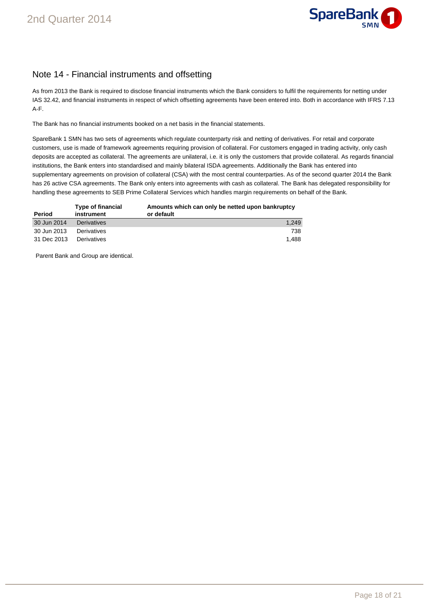

# Note 14 - Financial instruments and offsetting

As from 2013 the Bank is required to disclose financial instruments which the Bank considers to fulfil the requirements for netting under IAS 32.42, and financial instruments in respect of which offsetting agreements have been entered into. Both in accordance with IFRS 7.13 A-F.

The Bank has no financial instruments booked on a net basis in the financial statements.

SpareBank 1 SMN has two sets of agreements which regulate counterparty risk and netting of derivatives. For retail and corporate customers, use is made of framework agreements requiring provision of collateral. For customers engaged in trading activity, only cash deposits are accepted as collateral. The agreements are unilateral, i.e. it is only the customers that provide collateral. As regards financial institutions, the Bank enters into standardised and mainly bilateral ISDA agreements. Additionally the Bank has entered into supplementary agreements on provision of collateral (CSA) with the most central counterparties. As of the second quarter 2014 the Bank has 26 active CSA agreements. The Bank only enters into agreements with cash as collateral. The Bank has delegated responsibility for handling these agreements to SEB Prime Collateral Services which handles margin requirements on behalf of the Bank.

| Period      | Type of financial<br>instrument | Amounts which can only be netted upon bankruptcy<br>or default |
|-------------|---------------------------------|----------------------------------------------------------------|
| 30 Jun 2014 | <b>Derivatives</b>              | 1.249                                                          |
| 30 Jun 2013 | Derivatives                     | 738                                                            |
| 31 Dec 2013 | Derivatives                     | 1.488                                                          |

Parent Bank and Group are identical.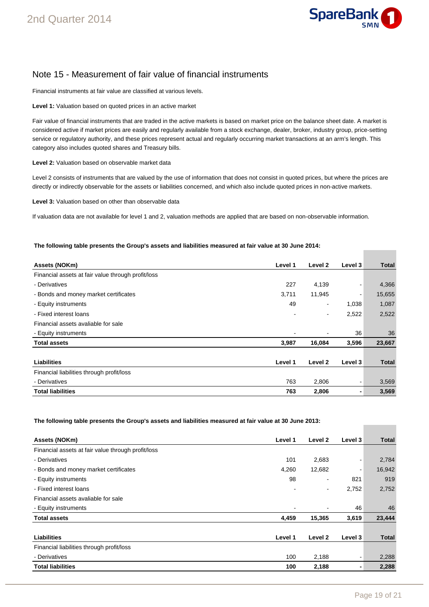

## Note 15 - Measurement of fair value of financial instruments

Financial instruments at fair value are classified at various levels.

**Level 1:** Valuation based on quoted prices in an active market

Fair value of financial instruments that are traded in the active markets is based on market price on the balance sheet date. A market is considered active if market prices are easily and regularly available from a stock exchange, dealer, broker, industry group, price-setting service or regulatory authority, and these prices represent actual and regularly occurring market transactions at an arm's length. This category also includes quoted shares and Treasury bills.

**Level 2:** Valuation based on observable market data

Level 2 consists of instruments that are valued by the use of information that does not consist in quoted prices, but where the prices are directly or indirectly observable for the assets or liabilities concerned, and which also include quoted prices in non-active markets.

**Level 3:** Valuation based on other than observable data

If valuation data are not available for level 1 and 2, valuation methods are applied that are based on non-observable information.

#### **The following table presents the Group's assets and liabilities measured at fair value at 30 June 2014:**

| Assets (NOKm)                                      | Level 1 | Level 2                  | Level 3 | <b>Total</b> |
|----------------------------------------------------|---------|--------------------------|---------|--------------|
| Financial assets at fair value through profit/loss |         |                          |         |              |
| - Derivatives                                      | 227     | 4,139                    |         | 4,366        |
| - Bonds and money market certificates              | 3,711   | 11,945                   |         | 15,655       |
| - Equity instruments                               | 49      | $\overline{a}$           | 1,038   | 1,087        |
| - Fixed interest loans                             |         | $\overline{\phantom{a}}$ | 2,522   | 2,522        |
| Financial assets avaliable for sale                |         |                          |         |              |
| - Equity instruments                               |         |                          | 36      | 36           |
| <b>Total assets</b>                                | 3,987   | 16,084                   | 3,596   | 23,667       |
|                                                    |         |                          |         |              |
| <b>Liabilities</b>                                 | Level 1 | Level 2                  | Level 3 | <b>Total</b> |
| Financial liabilities through profit/loss          |         |                          |         |              |
| - Derivatives                                      | 763     | 2,806                    |         | 3,569        |
| <b>Total liabilities</b>                           | 763     | 2,806                    |         | 3,569        |

**The following table presents the Group's assets and liabilities measured at fair value at 30 June 2013:** 

| Assets (NOKm)                                      | Level 1 | Level 2 | Level 3 | <b>Total</b> |
|----------------------------------------------------|---------|---------|---------|--------------|
| Financial assets at fair value through profit/loss |         |         |         |              |
| - Derivatives                                      | 101     | 2,683   | -       | 2,784        |
| - Bonds and money market certificates              | 4,260   | 12,682  | ٠       | 16,942       |
| - Equity instruments                               | 98      |         | 821     | 919          |
| - Fixed interest loans                             |         | ٠       | 2,752   | 2,752        |
| Financial assets avaliable for sale                |         |         |         |              |
| - Equity instruments                               |         |         | 46      | 46           |
| <b>Total assets</b>                                | 4,459   | 15,365  | 3,619   | 23,444       |
|                                                    |         |         |         |              |
| <b>Liabilities</b>                                 | Level 1 | Level 2 | Level 3 | Total        |
| Financial liabilities through profit/loss          |         |         |         |              |
| - Derivatives                                      | 100     | 2,188   | -       | 2,288        |
| <b>Total liabilities</b>                           | 100     | 2,188   | ۰       | 2,288        |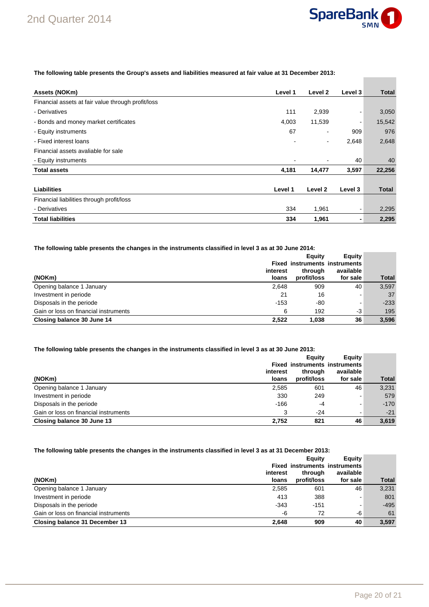

**Contract Contract** 

**The following table presents the Group's assets and liabilities measured at fair value at 31 December 2013:** 

| Assets (NOKm)                                      | Level 1 | Level 2                  | Level 3 | <b>Total</b> |
|----------------------------------------------------|---------|--------------------------|---------|--------------|
| Financial assets at fair value through profit/loss |         |                          |         |              |
| - Derivatives                                      | 111     | 2,939                    | ۰       | 3,050        |
| - Bonds and money market certificates              | 4,003   | 11,539                   |         | 15,542       |
| - Equity instruments                               | 67      |                          | 909     | 976          |
| - Fixed interest loans                             |         | $\overline{\phantom{a}}$ | 2,648   | 2,648        |
| Financial assets avaliable for sale                |         |                          |         |              |
| - Equity instruments                               |         |                          | 40      | 40           |
| <b>Total assets</b>                                | 4,181   | 14,477                   | 3,597   | 22,256       |
|                                                    |         |                          |         |              |
| <b>Liabilities</b>                                 | Level 1 | Level 2                  | Level 3 | <b>Total</b> |
| Financial liabilities through profit/loss          |         |                          |         |              |
| - Derivatives                                      | 334     | 1,961                    | ۰       | 2,295        |
| <b>Total liabilities</b>                           | 334     | 1,961                    | ۰       | 2,295        |

#### **The following table presents the changes in the instruments classified in level 3 as at 30 June 2014:**

|                                       |          | Eauity      | Equity                               |              |
|---------------------------------------|----------|-------------|--------------------------------------|--------------|
|                                       |          |             | <b>Fixed instruments instruments</b> |              |
|                                       | interest | through     | available                            |              |
| (NOKm)                                | loans    | profit/loss | for sale                             | <b>Total</b> |
| Opening balance 1 January             | 2,648    | 909         | 40                                   | 3,597        |
| Investment in periode                 | 21       | 16          |                                      | 37           |
| Disposals in the periode              | $-153$   | -80         |                                      | $-233$       |
| Gain or loss on financial instruments | 6        | 192         | -3                                   | 195          |
| Closing balance 30 June 14            | 2,522    | 1,038       | 36                                   | 3,596        |

### **The following table presents the changes in the instruments classified in level 3 as at 30 June 2013:**

|                                       |          | Eauity      | Equity                               |              |
|---------------------------------------|----------|-------------|--------------------------------------|--------------|
|                                       |          |             | <b>Fixed instruments instruments</b> |              |
|                                       | interest | through     | available                            |              |
| (NOKm)                                | loans    | profit/loss | for sale                             | <b>Total</b> |
| Opening balance 1 January             | 2,585    | 601         | 46                                   | 3.231        |
| Investment in periode                 | 330      | 249         |                                      | 579          |
| Disposals in the periode              | $-166$   | -4          | -                                    | $-170$       |
| Gain or loss on financial instruments | 3        | $-24$       | -                                    | $-21$        |
| Closing balance 30 June 13            | 2.752    | 821         | 46                                   | 3,619        |

#### **The following table presents the changes in the instruments classified in level 3 as at 31 December 2013:**

| (NOKm)                                | interest<br>loans | Eauity<br>through<br>profit/loss | Equity<br><b>Fixed instruments instruments</b><br>available<br>for sale | <b>Total</b> |
|---------------------------------------|-------------------|----------------------------------|-------------------------------------------------------------------------|--------------|
| Opening balance 1 January             | 2,585             | 601                              | 46                                                                      | 3,231        |
| Investment in periode                 | 413               | 388                              | -                                                                       | 801          |
| Disposals in the periode              | $-343$            | $-151$                           | ۰                                                                       | $-495$       |
| Gain or loss on financial instruments | -6                | 72                               | -6                                                                      | 61           |
| Closing balance 31 December 13        | 2.648             | 909                              | 40                                                                      | 3.597        |